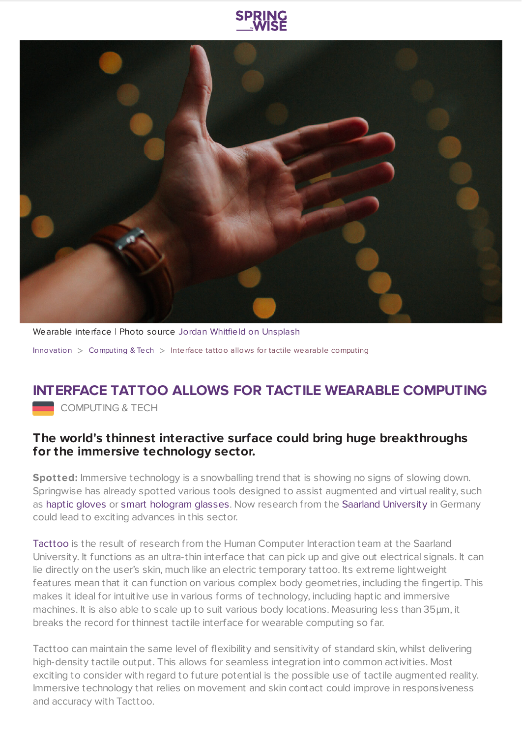



Wearable interface | Photo source Jordan Whitfield on [Unsplash](https://unsplash.com/photos/RI41DdDbU_o) [Innovation](https://www.springwise.com/search?type=innovation) > [Computing](https://www.springwise.com/search?type=innovation§or=computing) & Tech > Interface tattoo allows for tactile wearable computing

## **INTERFACE TATTOO ALLOWS FOR TACTILE WEARABLE COMPUTING**

COMPUTING & TECH

## **The world's thinnest interactive surface could bring huge breakthroughs for the immersive technology sector.**

**Spotted:** Immersive technology is a snowballing trend that is showing no signs of slowing down. Springwise has already spotted various tools designed to assist augmented and virtual reality, such as haptic [gloves](https://www.springwise.com/lightweight-haptic-feedback-gloves-let-users-touch-vr-objects/) or smart [hologram](https://www.springwise.com/smart-glasses-project-holograms-only-the-wearer-can-see/) glasses. Now research from the Saarland [University](http://www.cs.uni-saarland.de/) in Germany could lead to exciting advances in this sector.

[Tacttoo](https://hci.cs.uni-saarland.de/research/tacttoo/) is the result of research from the Human Computer Interaction team at the Saarland University. It functions as an ultra-thin interface that can pick up and give out electrical signals. It can lie directly on the user's skin, much like an electric temporary tattoo. Its extreme lightweight features mean that it can function on various complex body geometries, including the fingertip. This makes it ideal for intuitive use in various forms of technology, including haptic and immersive machines. It is also able to scale up to suit various body locations. Measuring less than 35μm, it breaks the record for thinnest tactile interface for wearable computing so far.

Tacttoo can maintain the same level of flexibility and sensitivity of standard skin, whilst delivering high-density tactile output. This allows for seamless integration into common activities. Most exciting to consider with regard to future potential is the possible use of tactile augmented reality. Immersive technology that relies on movement and skin contact could improve in responsiveness and accuracy with Tacttoo.